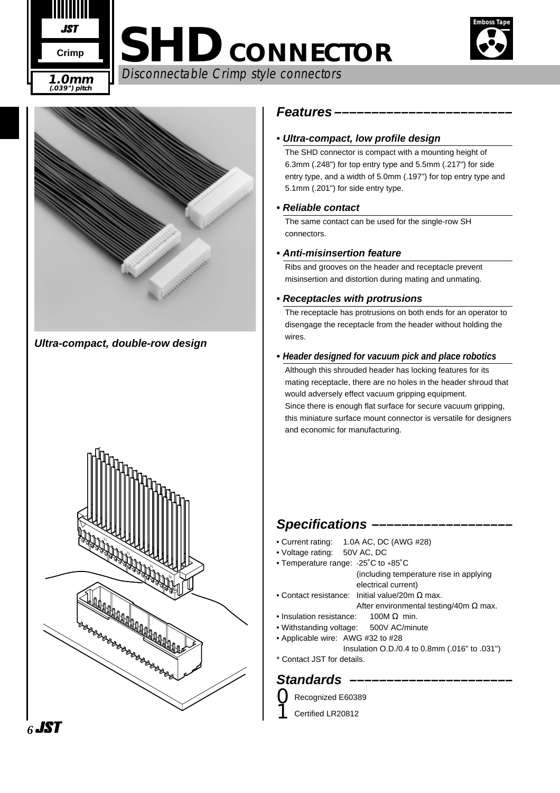



Disconnectable Crimp style connectors **1.0mm**



**Ultra-compact, double-row design**



## **Features ––––––––––––––––––––––––**

## **• Ultra-compact, low profile design**

The SHD connector is compact with a mounting height of 6.3mm (.248") for top entry type and 5.5mm (.217") for side entry type, and a width of 5.0mm (.197") for top entry type and 5.1mm (.201") for side entry type.

## **• Reliable contact**

The same contact can be used for the single-row SH connectors.

## **• Anti-misinsertion feature**

Ribs and grooves on the header and receptacle prevent misinsertion and distortion during mating and unmating.

#### **• Receptacles with protrusions**

The receptacle has protrusions on both ends for an operator to disengage the receptacle from the header without holding the wires.

#### **• Header designed for vacuum pick and place robotics**

Although this shrouded header has locking features for its mating receptacle, there are no holes in the header shroud that would adversely effect vacuum gripping equipment. Since there is enough flat surface for secure vacuum gripping, this miniature surface mount connector is versatile for designers and economic for manufacturing.

## **Specifications –––––––––––––––––––**

- Current rating: 1.0A AC, DC (AWG #28)
- Voltage rating: 50V AC, DC
- Temperature range: -25˚C to +85˚C
	- (including temperature rise in applying electrical current)
- Contact resistance: Initial value/20m  $\Omega$  max.
	- After environmental testing/40m  $\Omega$  max.
- Insulation resistance: 100M Ω min.
- Withstanding voltage: 500V AC/minute
- Applicable wire: AWG #32 to #28 Insulation O.D./0.4 to 0.8mm (.016" to .031")
- \* Contact JST for details.

## Standards –

- Recognized E60389
- Certified LR20812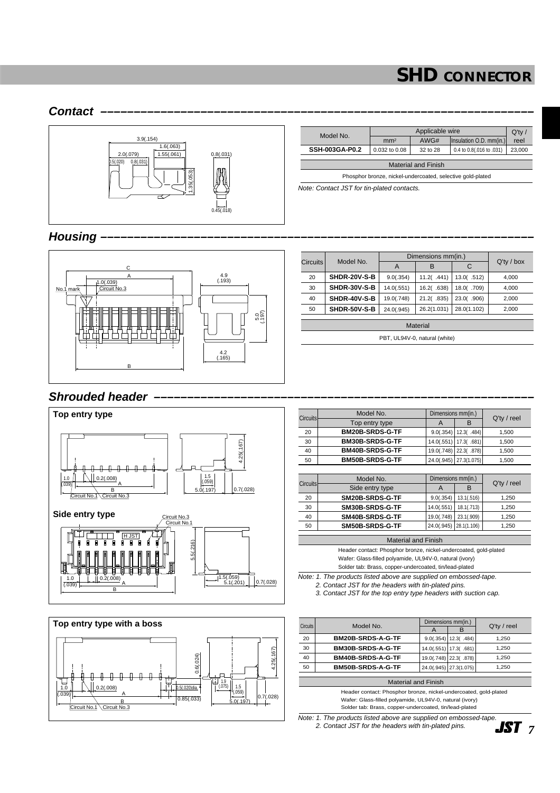Insulation O.D. mm(in.)

#### **Contact –––––––––––––––––––––––––––––––––––––––––––––––––––––––––––––––––** Note: Contact JST for tin-plated contacts. 0.8(.031) 0.5(.020) 2.0(.079) 3.9(.154)  $1.6(.063)$ 0.8(.031) 0.45(.018)  $1.55(.061)$ 1.35(.053) Model No. Applicable wire Q'ty / Phosphor bronze, nickel-undercoated, selective gold-plated **SSH-003GA-P0.2** 0.032 to 0.08 32 to 28 0.4 to 0.8(.016 to .031) 23,000

## **Housing –––––––––––––––––––––––––––––––––––––––––––––––––––––––––––––––––**



| <b>Circuits</b> | Model No.       | Dimensions mm(in.) |             |             |               |  |  |
|-----------------|-----------------|--------------------|-------------|-------------|---------------|--|--|
|                 |                 | A                  | в           | C           | $Q'$ ty / box |  |  |
| 20              | SHDR-20V-S-B    | 9.0(.354)          | 11.2( .441) | 13.0(.512)  | 4,000         |  |  |
| 30              | SHDR-30V-S-B    | 14.0(.551)         | 16.2(.638)  | 18.0(.709)  | 4,000         |  |  |
| 40              | SHDR-40V-S-B    | 19.0(.748)         | 21.2(.835)  | 23.0(.906)  | 2,000         |  |  |
| 50              | SHDR-50V-S-B    | 24.0(.945)         | 26.2(1.031) | 28.0(1.102) | 2,000         |  |  |
|                 | <b>Material</b> |                    |             |             |               |  |  |

Material and Finish

PBT, UL94V-0, natural (white)

## **Shrouded header**





| <b>Circuits</b> | Model No.              | Dimensions mm(in.) |             | $Q'$ ty / reel |
|-----------------|------------------------|--------------------|-------------|----------------|
|                 | Top entry type         | A                  | B           |                |
| 20              | <b>BM20B-SRDS-G-TF</b> | 9.0(.354)          | 12.3(.484)  | 1,500          |
| 30              | <b>BM30B-SRDS-G-TF</b> | 14.0(.551)         | 17.3(.681)  | 1,500          |
| 40              | <b>BM40B-SRDS-G-TF</b> | 19.0(.748)         | 22.3(.878)  | 1,500          |
| 50              | <b>BM50B-SRDS-G-TF</b> | 24.0(.945)         | 27.3(1.075) | 1,500          |
|                 |                        |                    |             |                |
|                 |                        |                    |             |                |
|                 | Model No.              | Dimensions mm(in.) |             |                |
| <b>Circuits</b> | Side entry type        | A                  | B           | $Q'$ ty / reel |
| 20              | SM20B-SRDS-G-TF        | 9.0(.354)          | 13.1(.516)  | 1,250          |
| 30              | SM30B-SRDS-G-TF        | 14.0(.551)         | 18.1(.713)  | 1,250          |
| 40              | SM40B-SRDS-G-TF        | 19.0(.748)         | 23.1(.909)  | 1,250          |
| 50              | SM50B-SRDS-G-TF        | 24.0(.945)         | 28.1(1.106) | 1.250          |

Material and Finish Header contact: Phosphor bronze, nickel-undercoated, gold-plated Wafer: Glass-filled polyamide, UL94V-0, natural (ivory)

Solder tab: Brass, copper-undercoated, tin/lead-plated Note: 1. The products listed above are supplied on embossed-tape. 2. Contact JST for the headers with tin-plated pins.

3. Contact JST for the top entry type headers with suction cap.

| <b>Circuits</b> | Model No.         |                | Dimensions mm(in.)     |                |
|-----------------|-------------------|----------------|------------------------|----------------|
|                 |                   | $\overline{A}$ | в                      | $Q'$ ty / reel |
| 20              | BM20B-SRDS-A-G-TF |                | $9.0(.354)$ 12.3(.484) | 1.250          |
| 30              | BM30B-SRDS-A-G-TF |                | 14.0(.551) 17.3(.681)  | 1.250          |
| 40              | BM40B-SRDS-A-G-TF |                | 19.0(.748) 22.3(.878)  | 1.250          |
| 50              | BM50B-SRDS-A-G-TF |                | 24.0(.945) 27.3(1.075) | 1.250          |

Material and Finish

Header contact: Phosphor bronze, nickel-undercoated, gold-plated Wafer: Glass-filled polyamide, UL94V-0, natural (ivory) Solder tab: Brass, copper-undercoated, tin/lead-plated

Note: 1. The products listed above are supplied on embossed-tape. 2. Contact JST for the headers with tin-plated pins.

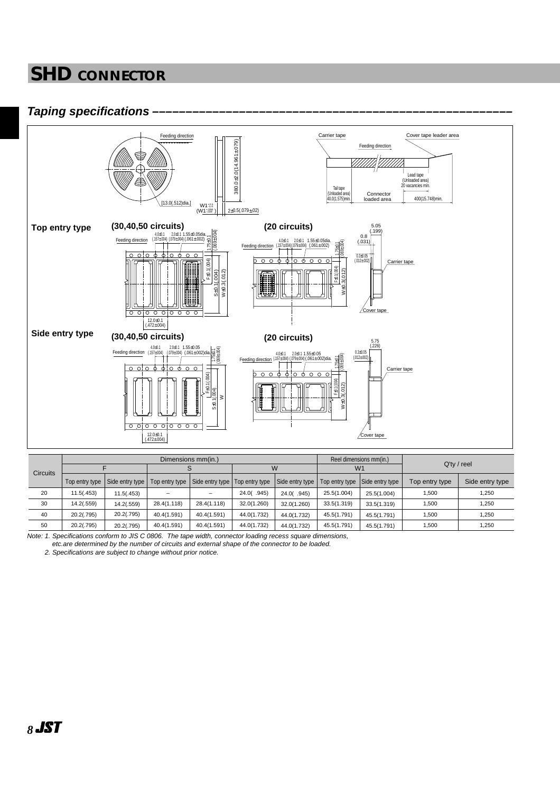## **Taping specifications ––––––––––––––––––––––––––––––––––––––––––––––––––––––**



|                 | Dimensions mm(in.) |                 |             |                                                   |             |                 | Reel dimensions mm(in.) |                                |                |                 |
|-----------------|--------------------|-----------------|-------------|---------------------------------------------------|-------------|-----------------|-------------------------|--------------------------------|----------------|-----------------|
| <b>Circuits</b> |                    |                 |             |                                                   | W           |                 | W <sub>1</sub>          |                                | $Q'$ ty / reel |                 |
|                 | Top entry type     | Side entry type |             | Top entry type   Side entry type   Top entry type |             | Side entry type |                         | Top entry type Side entry type | Top entry type | Side entry type |
| 20              | 11.5(.453)         | 11.5(.453)      |             |                                                   | 24.0(.945)  | 24.0(.945)      | 25.5(1.004)             | 25.5(1.004)                    | 1,500          | 1,250           |
| 30              | 14.2(.559)         | 14.2(.559)      | 28.4(1.118) | 28.4(1.118)                                       | 32.0(1.260) | 32.0(1.260)     | 33.5(1.319)             | 33.5(1.319)                    | 1,500          | 1,250           |
| 40              | 20.2(.795)         | 20.2(.795)      | 40.4(1.591) | 40.4(1.591)                                       | 44.0(1.732) | 44.0(1.732)     | 45.5(1.791)             | 45.5(1.791)                    | 1,500          | 1,250           |
| 50              | 20.2(.795)         | 20.2(.795)      | 40.4(1.591) | 40.4(1.591)                                       | 44.0(1.732) | 44.0(1.732)     | 45.5(1.791)             | 45.5(1.791)                    | 1,500          | 1,250           |

Note: 1. Specifications conform to JIS C 0806. The tape width, connector loading recess square dimensions, etc.are determined by the number of circuits and external shape of the connector to be loaded.

2. Specifications are subject to change without prior notice.